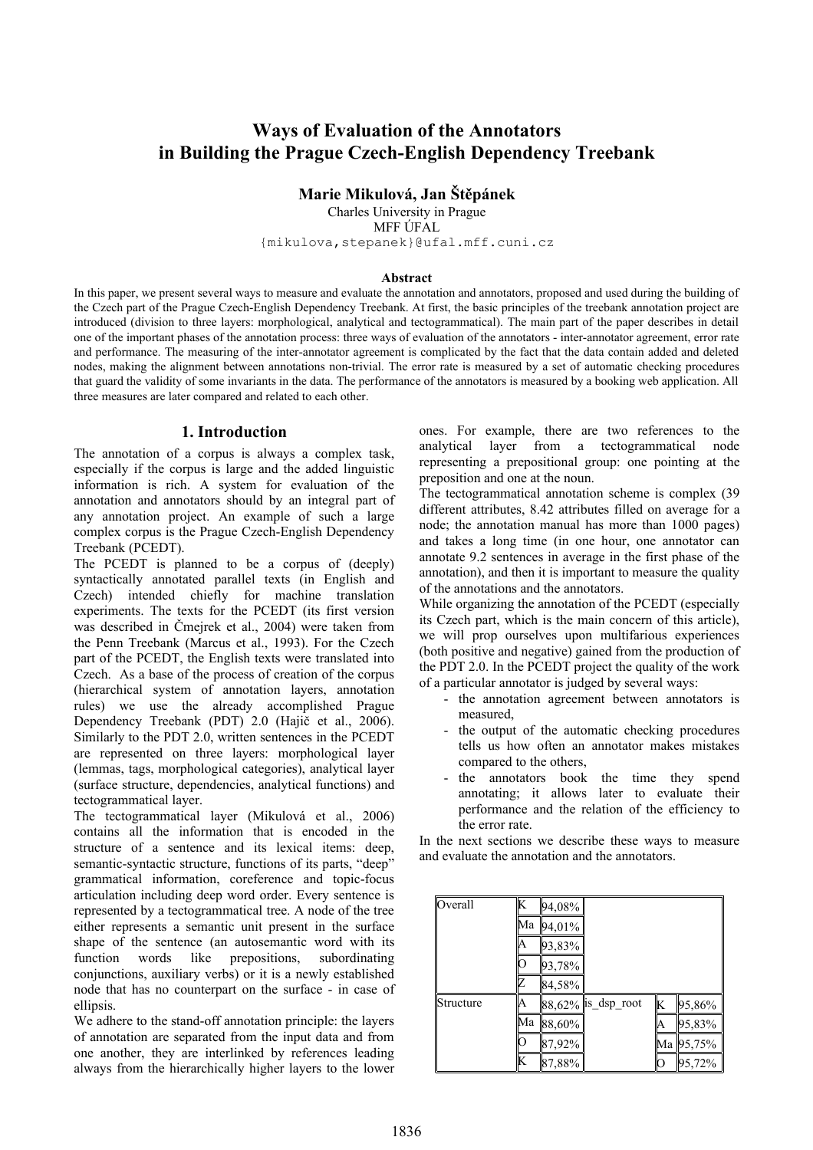# **Ways of Evaluation of the Annotators in Building the Prague Czech-English Dependency Treebank**

## **Marie Mikulová, Jan Štěpánek**

Charles University in Prague MFF ÚFAL {mikulova,stepanek}@ufal.mff.cuni.cz

#### **Abstract**

In this paper, we present several ways to measure and evaluate the annotation and annotators, proposed and used during the building of the Czech part of the Prague Czech-English Dependency Treebank. At first, the basic principles of the treebank annotation project are introduced (division to three layers: morphological, analytical and tectogrammatical). The main part of the paper describes in detail one of the important phases of the annotation process: three ways of evaluation of the annotators - inter-annotator agreement, error rate and performance. The measuring of the inter-annotator agreement is complicated by the fact that the data contain added and deleted nodes, making the alignment between annotations non-trivial. The error rate is measured by a set of automatic checking procedures that guard the validity of some invariants in the data. The performance of the annotators is measured by a booking web application. All three measures are later compared and related to each other.

### **1. Introduction**

The annotation of a corpus is always a complex task, especially if the corpus is large and the added linguistic information is rich. A system for evaluation of the annotation and annotators should by an integral part of any annotation project. An example of such a large complex corpus is the Prague Czech-English Dependency Treebank (PCEDT).

The PCEDT is planned to be a corpus of (deeply) syntactically annotated parallel texts (in English and Czech) intended chiefly for machine translation experiments. The texts for the PCEDT (its first version was described in Čmejrek et al., 2004) were taken from the Penn Treebank (Marcus et al., 1993). For the Czech part of the PCEDT, the English texts were translated into Czech. As a base of the process of creation of the corpus (hierarchical system of annotation layers, annotation rules) we use the already accomplished Prague Dependency Treebank (PDT) 2.0 (Hajič et al., 2006). Similarly to the PDT 2.0, written sentences in the PCEDT are represented on three layers: morphological layer (lemmas, tags, morphological categories), analytical layer (surface structure, dependencies, analytical functions) and tectogrammatical layer.

The tectogrammatical layer (Mikulová et al., 2006) contains all the information that is encoded in the structure of a sentence and its lexical items: deep, semantic-syntactic structure, functions of its parts, "deep" grammatical information, coreference and topic-focus articulation including deep word order. Every sentence is represented by a tectogrammatical tree. A node of the tree either represents a semantic unit present in the surface shape of the sentence (an autosemantic word with its function words like prepositions, subordinating conjunctions, auxiliary verbs) or it is a newly established node that has no counterpart on the surface - in case of ellipsis.

We adhere to the stand-off annotation principle: the layers of annotation are separated from the input data and from one another, they are interlinked by references leading always from the hierarchically higher layers to the lower ones. For example, there are two references to the analytical layer from a tectogrammatical node representing a prepositional group: one pointing at the preposition and one at the noun.

The tectogrammatical annotation scheme is complex (39 different attributes, 8.42 attributes filled on average for a node; the annotation manual has more than 1000 pages) and takes a long time (in one hour, one annotator can annotate 9.2 sentences in average in the first phase of the annotation), and then it is important to measure the quality of the annotations and the annotators.

While organizing the annotation of the PCEDT (especially its Czech part, which is the main concern of this article), we will prop ourselves upon multifarious experiences (both positive and negative) gained from the production of the PDT 2.0. In the PCEDT project the quality of the work of a particular annotator is judged by several ways:

- the annotation agreement between annotators is measured,
- the output of the automatic checking procedures tells us how often an annotator makes mistakes compared to the others,
- the annotators book the time they spend annotating; it allows later to evaluate their performance and the relation of the efficiency to the error rate.

In the next sections we describe these ways to measure and evaluate the annotation and the annotators.

| Overall   | K  | 94,08%     |                     |    |            |
|-----------|----|------------|---------------------|----|------------|
|           | Мa | 94,01%     |                     |    |            |
|           |    | 93,83%     |                     |    |            |
|           |    | 93,78%     |                     |    |            |
|           |    | $ 84,58\%$ |                     |    |            |
| Structure | А  |            | 88,62%  is_dsp_root | K  | 95,86%     |
|           | Ma | $ 88,60\%$ |                     | ΙA | 95,83%     |
|           |    | 87,92%     |                     | Ma | $ 95,75\%$ |
|           | K  | 87,88%     |                     | 0  | 95,72%     |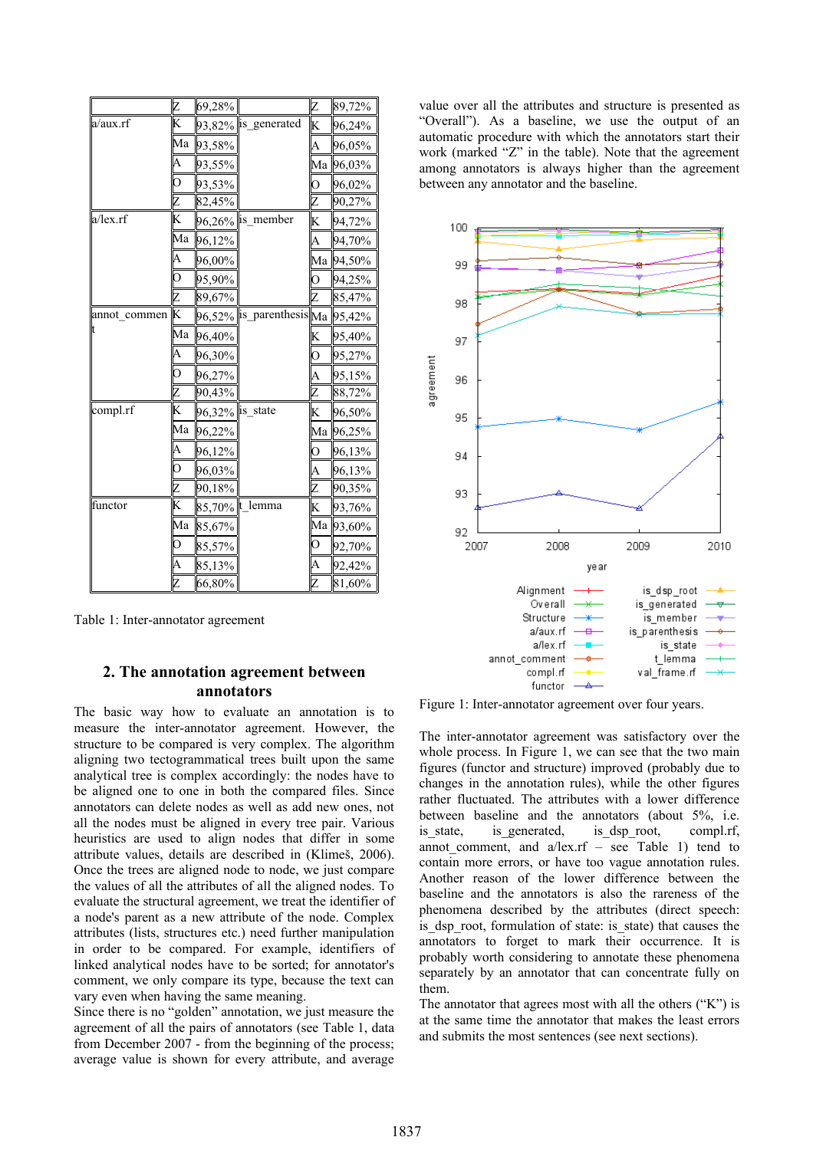|              | Z              | $ 69,28\% $       |                                            | Z | 89,72%             |
|--------------|----------------|-------------------|--------------------------------------------|---|--------------------|
| a/aux.rf     | K              |                   | $93,82\%$ lis_generated                    | K | 96,24%             |
|              | Ma             | 93,58%            |                                            | A | 96,05%             |
|              | A              | 93,55%            |                                            |   | Ma  96,03%         |
|              | $\overline{O}$ | 93,53%            |                                            | Ο | 96,02%             |
|              | Z              | 82,45%            |                                            | Z | 90,27%             |
| a/lex.rf     | K              |                   | $96,26\%$  is_member                       | K | 94,72%             |
|              | Ma             | 96,12%            |                                            | A | 94,70%             |
|              | A              | 96,00%            |                                            |   | Ма ∥94,50%         |
|              | $\overline{O}$ | 95,90%            |                                            | 0 | 94,25%             |
|              | Z              | 89,67%            |                                            | Ζ | 85,47%             |
| annot_commen | K              |                   | $96,52\%$   is_parenthesis  Ma   $95,42\%$ |   |                    |
|              | Ma             | 96,40%            |                                            | K | 95,40%             |
|              | A              | 96,30%            |                                            | О | 95,27%             |
|              | $\overline{O}$ | 96,27%            |                                            | A | 95,15%             |
|              | Z              | 90,43%            |                                            | Z | 88,72%             |
| compl.rf     | K              | 96,32%   is_state |                                            | K | 96,50%             |
|              | Ma             | 96,22%            |                                            |   | Ма ∥96,25%         |
|              | A              | 96,12%            |                                            | O | 96,13%             |
|              | $\overline{O}$ | 96,03%            |                                            | A | 96,13%             |
|              | Z              | 90,18%            |                                            | Z | 90,35%             |
| functor      | K              |                   | 85,70%  t_lemma                            | K | $93,76\%$          |
|              | Ma             | 85,67%            |                                            |   | Ma ∥93,6 <u>0%</u> |
|              | O              | 85,57%            |                                            | 0 | 92,70%             |
|              | A              | 85,13%            |                                            | A | 92,42%             |
|              | Z              | 66,80%            |                                            | Z | 81,60%             |

Table 1: Inter-annotator agreement

## **2. The annotation agreement between annotators**

The basic way how to evaluate an annotation is to measure the inter-annotator agreement. However, the structure to be compared is very complex. The algorithm aligning two tectogrammatical trees built upon the same analytical tree is complex accordingly: the nodes have to be aligned one to one in both the compared files. Since annotators can delete nodes as well as add new ones, not all the nodes must be aligned in every tree pair. Various heuristics are used to align nodes that differ in some attribute values, details are described in (Klimeš, 2006). Once the trees are aligned node to node, we just compare the values of all the attributes of all the aligned nodes. To evaluate the structural agreement, we treat the identifier of a node's parent as a new attribute of the node. Complex attributes (lists, structures etc.) need further manipulation in order to be compared. For example, identifiers of linked analytical nodes have to be sorted; for annotator's comment, we only compare its type, because the text can vary even when having the same meaning.

Since there is no "golden" annotation, we just measure the agreement of all the pairs of annotators (see Table 1, data from December 2007 - from the beginning of the process; average value is shown for every attribute, and average

value over all the attributes and structure is presented as "Overall"). As a baseline, we use the output of an automatic procedure with which the annotators start their work (marked "Z" in the table). Note that the agreement among annotators is always higher than the agreement between any annotator and the baseline.



Figure 1: Inter-annotator agreement over four years.

The inter-annotator agreement was satisfactory over the whole process. In Figure 1, we can see that the two main figures (functor and structure) improved (probably due to changes in the annotation rules), while the other figures rather fluctuated. The attributes with a lower difference between baseline and the annotators (about 5%, i.e. is state, is generated, is dsp root, compl.rf, annot comment, and  $a/lex.rf$  – see Table 1) tend to contain more errors, or have too vague annotation rules. Another reason of the lower difference between the baseline and the annotators is also the rareness of the phenomena described by the attributes (direct speech: is dsp root, formulation of state: is state) that causes the annotators to forget to mark their occurrence. It is probably worth considering to annotate these phenomena separately by an annotator that can concentrate fully on them.

The annotator that agrees most with all the others ("K") is at the same time the annotator that makes the least errors and submits the most sentences (see next sections).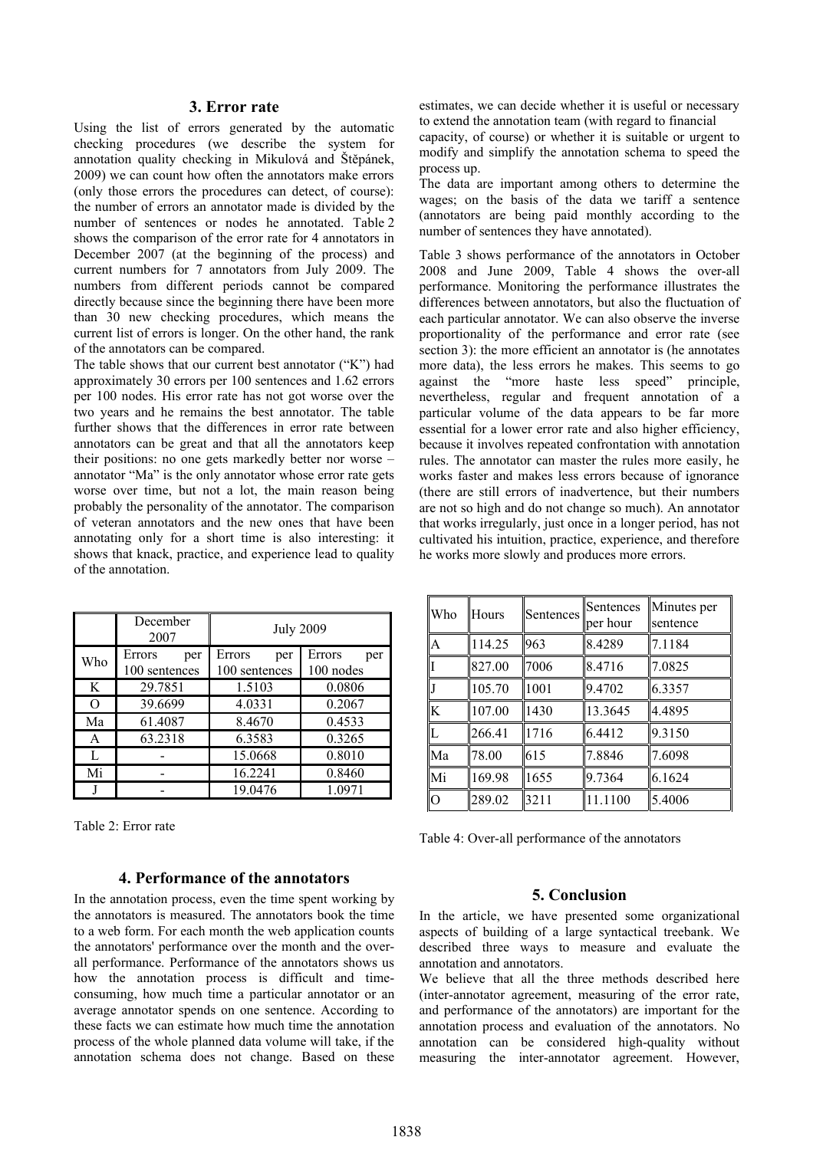#### **3. Error rate**

Using the list of errors generated by the automatic checking procedures (we describe the system for annotation quality checking in Mikulová and Štěpánek, 2009) we can count how often the annotators make errors (only those errors the procedures can detect, of course): the number of errors an annotator made is divided by the number of sentences or nodes he annotated. Table 2 shows the comparison of the error rate for 4 annotators in December 2007 (at the beginning of the process) and current numbers for 7 annotators from July 2009. The numbers from different periods cannot be compared directly because since the beginning there have been more than 30 new checking procedures, which means the current list of errors is longer. On the other hand, the rank of the annotators can be compared.

The table shows that our current best annotator ("K") had approximately 30 errors per 100 sentences and 1.62 errors per 100 nodes. His error rate has not got worse over the two years and he remains the best annotator. The table further shows that the differences in error rate between annotators can be great and that all the annotators keep their positions: no one gets markedly better nor worse – annotator "Ma" is the only annotator whose error rate gets worse over time, but not a lot, the main reason being probably the personality of the annotator. The comparison of veteran annotators and the new ones that have been annotating only for a short time is also interesting: it shows that knack, practice, and experience lead to quality of the annotation.

|          | December<br>2007               | <b>July 2009</b>               |                            |  |  |  |
|----------|--------------------------------|--------------------------------|----------------------------|--|--|--|
| Who      | Errors<br>per<br>100 sentences | Errors<br>per<br>100 sentences | Errors<br>per<br>100 nodes |  |  |  |
| K        | 29.7851                        | 1.5103                         | 0.0806                     |  |  |  |
| $\Omega$ | 39.6699                        | 4.0331                         | 0.2067                     |  |  |  |
| Ma       | 61.4087                        | 8.4670                         | 0.4533                     |  |  |  |
| A        | 63.2318                        | 6.3583                         | 0.3265                     |  |  |  |
| L        |                                | 15.0668                        | 0.8010                     |  |  |  |
| Mi       |                                | 16.2241                        | 0.8460                     |  |  |  |
|          |                                | 19.0476                        | 1.0971                     |  |  |  |

Table 2: Error rate

### **4. Performance of the annotators**

In the annotation process, even the time spent working by the annotators is measured. The annotators book the time to a web form. For each month the web application counts the annotators' performance over the month and the overall performance. Performance of the annotators shows us how the annotation process is difficult and timeconsuming, how much time a particular annotator or an average annotator spends on one sentence. According to these facts we can estimate how much time the annotation process of the whole planned data volume will take, if the annotation schema does not change. Based on these estimates, we can decide whether it is useful or necessary to extend the annotation team (with regard to financial

capacity, of course) or whether it is suitable or urgent to modify and simplify the annotation schema to speed the process up.

The data are important among others to determine the wages; on the basis of the data we tariff a sentence (annotators are being paid monthly according to the number of sentences they have annotated).

Table 3 shows performance of the annotators in October 2008 and June 2009, Table 4 shows the over-all performance. Monitoring the performance illustrates the differences between annotators, but also the fluctuation of each particular annotator. We can also observe the inverse proportionality of the performance and error rate (see section 3): the more efficient an annotator is (he annotates more data), the less errors he makes. This seems to go against the "more haste less speed" principle, nevertheless, regular and frequent annotation of a particular volume of the data appears to be far more essential for a lower error rate and also higher efficiency, because it involves repeated confrontation with annotation rules. The annotator can master the rules more easily, he works faster and makes less errors because of ignorance (there are still errors of inadvertence, but their numbers are not so high and do not change so much). An annotator that works irregularly, just once in a longer period, has not cultivated his intuition, practice, experience, and therefore he works more slowly and produces more errors.

| Who            | Hours  | Sentences | Sentences<br>per hour | Minutes per<br>sentence |
|----------------|--------|-----------|-----------------------|-------------------------|
| A              | 114.25 | 963       | 8.4289                | 7.1184                  |
|                | 827.00 | 7006      | 8.4716                | 7.0825                  |
| J              | 105.70 | 1001      | 9.4702                | 6.3357                  |
| K              | 107.00 | 1430      | 13.3645               | 4.4895                  |
| $\mathsf L$    | 266.41 | 1716      | 6.4412                | 9.3150                  |
| Ma             | 78.00  | 615       | 7.8846                | 7.6098                  |
| Mi             | 169.98 | 1655      | 9.7364                | 6.1624                  |
| $\overline{O}$ | 289.02 | 3211      | 11.1100               | 5.4006                  |

Table 4: Over-all performance of the annotators

#### **5. Conclusion**

In the article, we have presented some organizational aspects of building of a large syntactical treebank. We described three ways to measure and evaluate the annotation and annotators.

We believe that all the three methods described here (inter-annotator agreement, measuring of the error rate, and performance of the annotators) are important for the annotation process and evaluation of the annotators. No annotation can be considered high-quality without measuring the inter-annotator agreement. However,